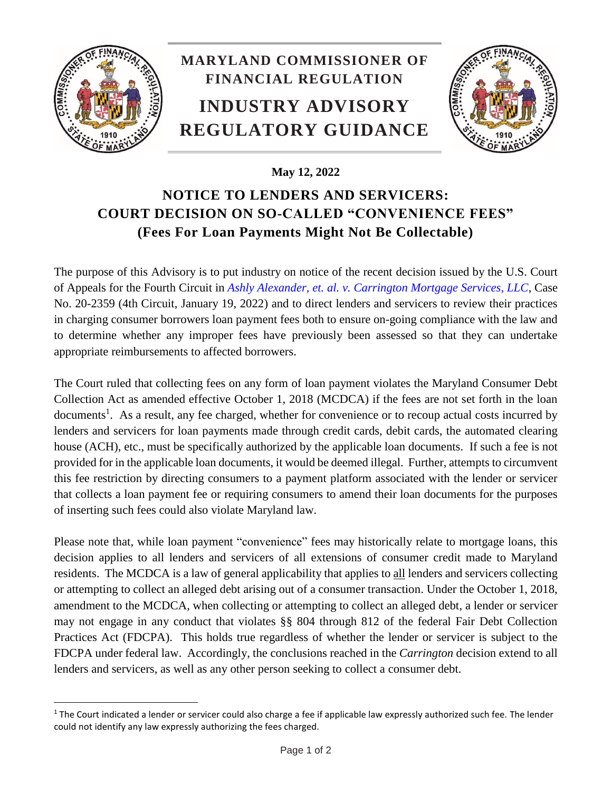

l

## **MARYLAND COMMISSIONER OF FINANCIAL REGULATION INDUSTRY ADVISORY REGULATORY GUIDANCE**



## **May 12, 2022**

## **NOTICE TO LENDERS AND SERVICERS: COURT DECISION ON SO-CALLED "CONVENIENCE FEES" (Fees For Loan Payments Might Not Be Collectable)**

The purpose of this Advisory is to put industry on notice of the recent decision issued by the U.S. Court of Appeals for the Fourth Circuit in *[Ashly Alexander, et. al. v. Carrington Mortgage Services, LLC](https://www.ca4.uscourts.gov/opinions/202359.p.pdf)*, Case No. 20-2359 (4th Circuit, January 19, 2022) and to direct lenders and servicers to review their practices in charging consumer borrowers loan payment fees both to ensure on-going compliance with the law and to determine whether any improper fees have previously been assessed so that they can undertake appropriate reimbursements to affected borrowers.

The Court ruled that collecting fees on any form of loan payment violates the Maryland Consumer Debt Collection Act as amended effective October 1, 2018 (MCDCA) if the fees are not set forth in the loan documents<sup>1</sup>. As a result, any fee charged, whether for convenience or to recoup actual costs incurred by lenders and servicers for loan payments made through credit cards, debit cards, the automated clearing house (ACH), etc., must be specifically authorized by the applicable loan documents. If such a fee is not provided for in the applicable loan documents, it would be deemed illegal. Further, attempts to circumvent this fee restriction by directing consumers to a payment platform associated with the lender or servicer that collects a loan payment fee or requiring consumers to amend their loan documents for the purposes of inserting such fees could also violate Maryland law.

Please note that, while loan payment "convenience" fees may historically relate to mortgage loans, this decision applies to all lenders and servicers of all extensions of consumer credit made to Maryland residents. The MCDCA is a law of general applicability that applies to all lenders and servicers collecting or attempting to collect an alleged debt arising out of a consumer transaction. Under the October 1, 2018, amendment to the MCDCA, when collecting or attempting to collect an alleged debt, a lender or servicer may not engage in any conduct that violates §§ 804 through 812 of the federal Fair Debt Collection Practices Act (FDCPA). This holds true regardless of whether the lender or servicer is subject to the FDCPA under federal law. Accordingly, the conclusions reached in the *Carrington* decision extend to all lenders and servicers, as well as any other person seeking to collect a consumer debt.

 $1$  The Court indicated a lender or servicer could also charge a fee if applicable law expressly authorized such fee. The lender could not identify any law expressly authorizing the fees charged.